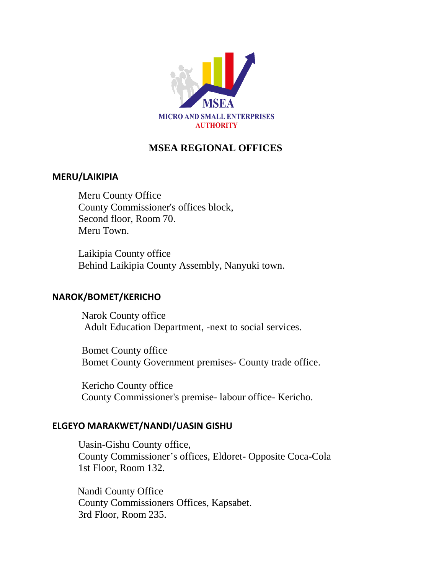

# **MSEA REGIONAL OFFICES**

# **MERU/LAIKIPIA**

Meru County Office County Commissioner's offices block, Second floor, Room 70. Meru Town.

Laikipia County office Behind Laikipia County Assembly, Nanyuki town.

# **NAROK/BOMET/KERICHO**

Narok County office Adult Education Department, -next to social services.

Bomet County office Bomet County Government premises- County trade office.

Kericho County office County Commissioner's premise- labour office- Kericho.

# **ELGEYO MARAKWET/NANDI/UASIN GISHU**

Uasin-Gishu County office, County Commissioner's offices, Eldoret- Opposite Coca-Cola 1st Floor, Room 132.

 Nandi County Office County Commissioners Offices, Kapsabet. 3rd Floor, Room 235.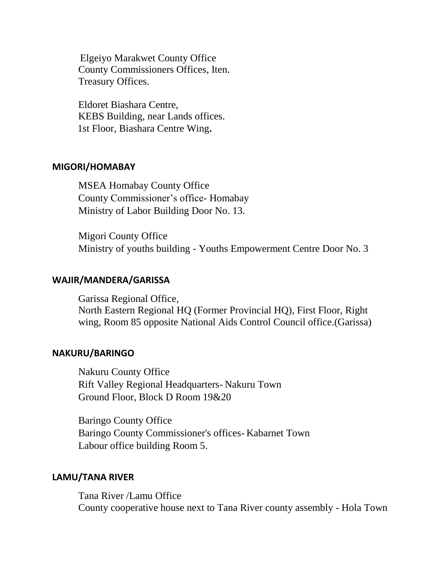Elgeiyo Marakwet County Office County Commissioners Offices, Iten. Treasury Offices.

Eldoret Biashara Centre, KEBS Building, near Lands offices. 1st Floor, Biashara Centre Wing**.**

# **MIGORI/HOMABAY**

MSEA Homabay County Office County Commissioner's office- Homabay Ministry of Labor Building Door No. 13.

Migori County Office Ministry of youths building - Youths Empowerment Centre Door No. 3

### **WAJIR/MANDERA/GARISSA**

Garissa Regional Office, North Eastern Regional HQ (Former Provincial HQ), First Floor, Right wing, Room 85 opposite National Aids Control Council office.(Garissa)

#### **NAKURU/BARINGO**

Nakuru County Office Rift Valley Regional Headquarters- Nakuru Town Ground Floor, Block D Room 19&20

Baringo County Office Baringo County Commissioner's offices- Kabarnet Town Labour office building Room 5.

#### **LAMU/TANA RIVER**

Tana River /Lamu Office County cooperative house next to Tana River county assembly - Hola Town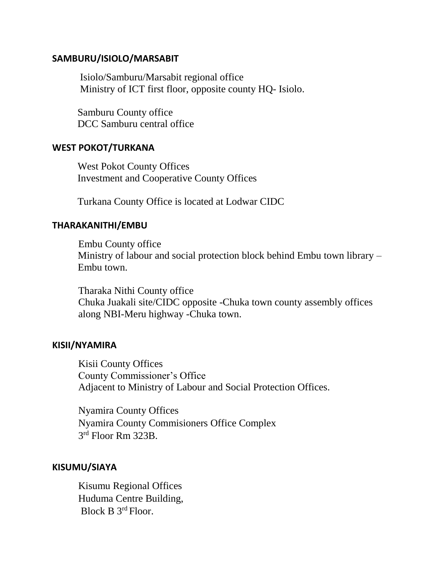### **SAMBURU/ISIOLO/MARSABIT**

 Isiolo/Samburu/Marsabit regional office Ministry of ICT first floor, opposite county HQ- Isiolo.

 Samburu County office DCC Samburu central office

### **WEST POKOT/TURKANA**

 West Pokot County Offices Investment and Cooperative County Offices

Turkana County Office is located at Lodwar CIDC

# **THARAKANITHI/EMBU**

Embu County office Ministry of labour and social protection block behind Embu town library – Embu town.

Tharaka Nithi County office Chuka Juakali site/CIDC opposite -Chuka town county assembly offices along NBI-Meru highway -Chuka town.

#### **KISII/NYAMIRA**

Kisii County Offices County Commissioner's Office Adjacent to Ministry of Labour and Social Protection Offices.

Nyamira County Offices Nyamira County Commisioners Office Complex 3 rd Floor Rm 323B.

# **KISUMU/SIAYA**

Kisumu Regional Offices Huduma Centre Building, Block B 3rd Floor.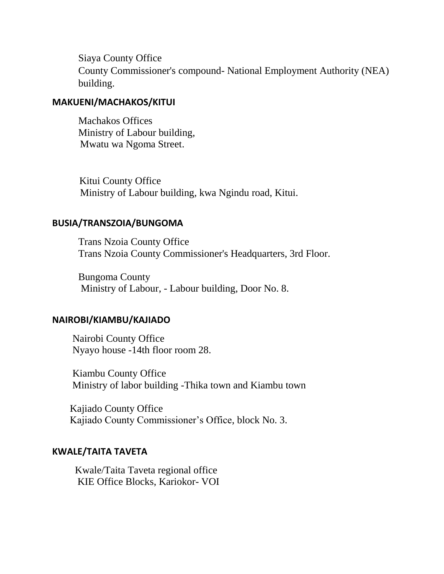Siaya County Office County Commissioner's compound- National Employment Authority (NEA) building.

# **MAKUENI/MACHAKOS/KITUI**

Machakos Offices Ministry of Labour building, Mwatu wa Ngoma Street.

 Kitui County Office Ministry of Labour building, kwa Ngindu road, Kitui.

### **BUSIA/TRANSZOIA/BUNGOMA**

Trans Nzoia County Office Trans Nzoia County Commissioner's Headquarters, 3rd Floor.

Bungoma County Ministry of Labour, - Labour building, Door No. 8.

### **NAIROBI/KIAMBU/KAJIADO**

 Nairobi County Office Nyayo house -14th floor room 28.

 Kiambu County Office Ministry of labor building -Thika town and Kiambu town

 Kajiado County Office Kajiado County Commissioner's Office, block No. 3.

# **KWALE/TAITA TAVETA**

 Kwale/Taita Taveta regional office KIE Office Blocks, Kariokor- VOI